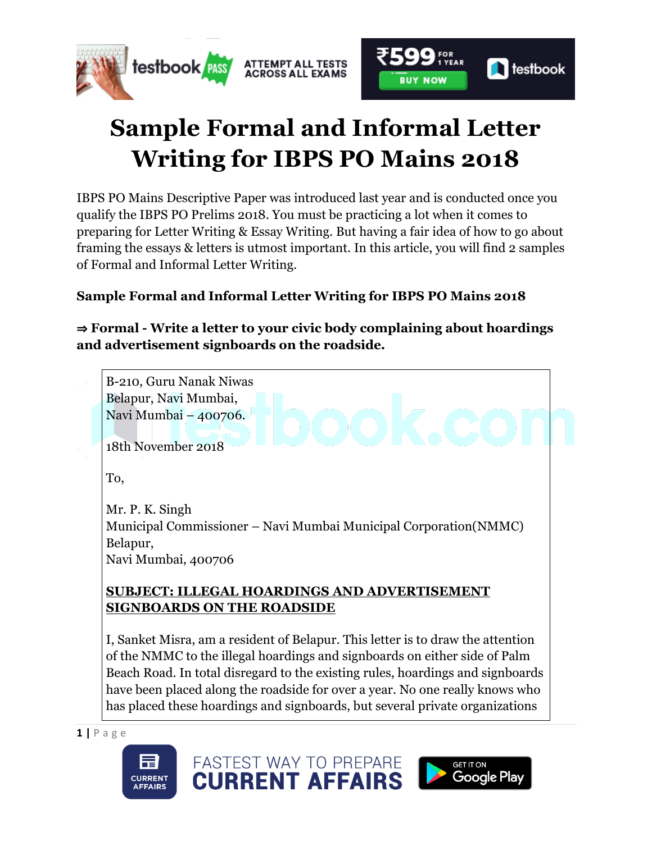

## **Sample Formal and Informal Letter Writing for IBPS PO Mains 2018**

IBPS PO Mains Descriptive Paper was introduced last year and is conducted once you qualify the IBPS PO Prelims 2018. You must be practicing a lot when it comes to preparing for Letter Writing & Essay Writing. But having a fair idea of how to go about framing the essays & letters is utmost important. In this article, you will find 2 samples of Formal and Informal Letter Writing.

## **Sample Formal and Informal Letter Writing for IBPS PO Mains 2018**

⇒ **Formal - Write a letter to your civic body complaining about hoardings and advertisement signboards on the roadside.**



has placed these hoardings and signboards, but several private organizations

FASTEST WAY TO PREPARE

**CURRENT AFFAIRS** 





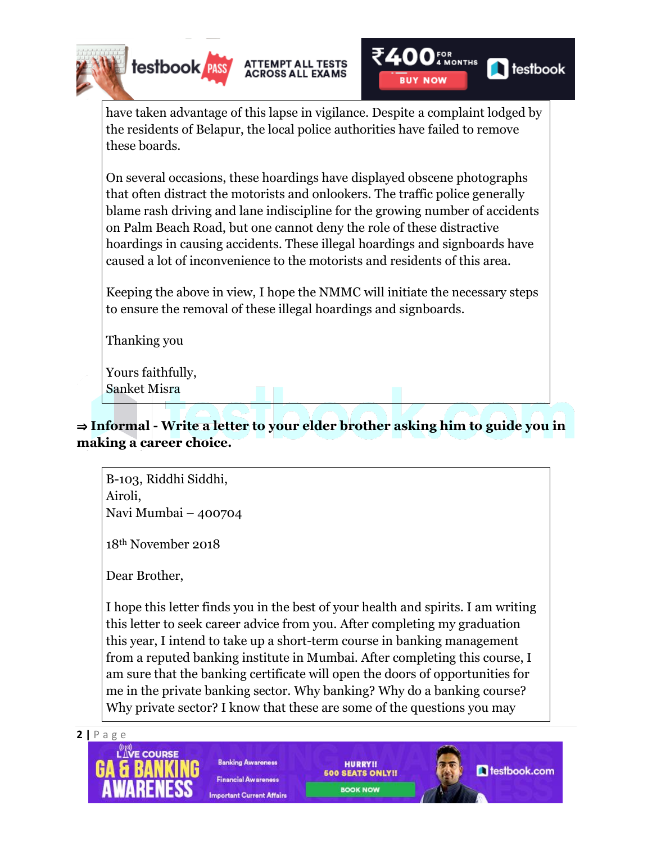

have taken advantage of this lapse in vigilance. Despite a complaint lodged by the residents of Belapur, the local police authorities have failed to remove these boards.

On several occasions, these hoardings have displayed obscene photographs that often distract the motorists and onlookers. The traffic police generally blame rash driving and lane indiscipline for the growing number of accidents on Palm Beach Road, but one cannot deny the role of these distractive hoardings in causing accidents. These illegal hoardings and signboards have caused a lot of inconvenience to the motorists and residents of this area.

Keeping the above in view, I hope the NMMC will initiate the necessary steps to ensure the removal of these illegal hoardings and signboards.

Thanking you

Yours faithfully, Sanket Misra

## ⇒ **Informal - Write a letter to your elder brother asking him to guide you in making a career choice.**

B-103, Riddhi Siddhi, Airoli, Navi Mumbai – 400704

18th November 2018

Dear Brother,

I hope this letter finds you in the best of your health and spirits. I am writing this letter to seek career advice from you. After completing my graduation this year, I intend to take up a short-term course in banking management from a reputed banking institute in Mumbai. After completing this course, I am sure that the banking certificate will open the doors of opportunities for me in the private banking sector. Why banking? Why do a banking course? Why private sector? I know that these are some of the questions you may





**Banking Awareness Financial Awareness Important Current Affairs** 

**HURRY!! 500 SEATS ONLY!! BOOK NOW** 

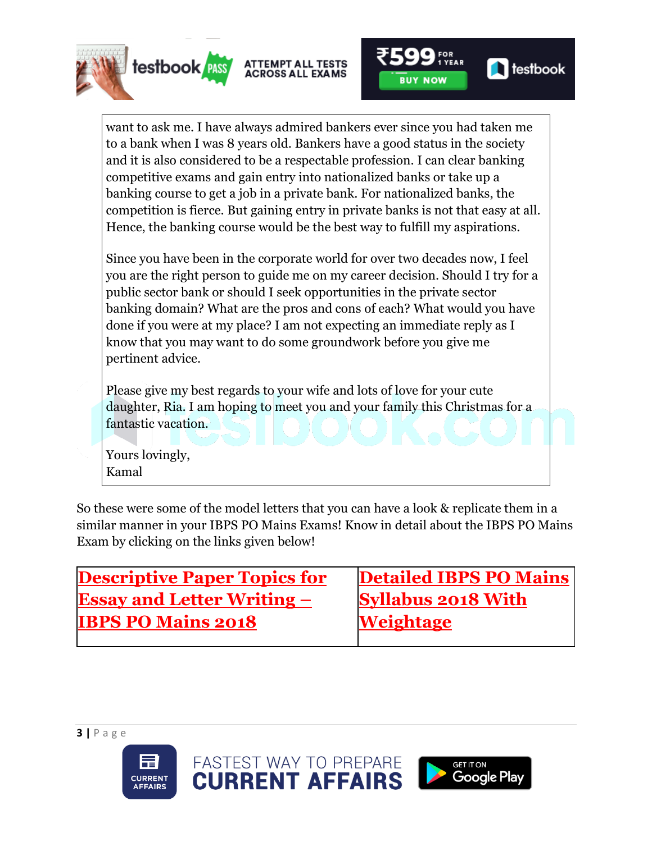



want to ask me. I have always admired bankers ever since you had taken me to a bank when I was 8 years old. Bankers have a good status in the society and it is also considered to be a respectable profession. I can clear banking competitive exams and gain entry into nationalized banks or take up a banking course to get a job in a private bank. For nationalized banks, the competition is fierce. But gaining entry in private banks is not that easy at all. Hence, the banking course would be the best way to fulfill my aspirations.

Since you have been in the corporate world for over two decades now, I feel you are the right person to guide me on my career decision. Should I try for a public sector bank or should I seek opportunities in the private sector banking domain? What are the pros and cons of each? What would you have done if you were at my place? I am not expecting an immediate reply as I know that you may want to do some groundwork before you give me pertinent advice.

Please give my best regards to your wife and lots of love for your cute daughter, Ria. I am hoping to meet you and your family this Christmas for a fantastic vacation.

Yours lovingly, Kamal

So these were some of the model letters that you can have a look & replicate them in a similar manner in your IBPS PO Mains Exams! Know in detail about the IBPS PO Mains Exam by clicking on the links given below!

| <b>Descriptive Paper Topics for</b> | <b>Detailed IBPS PO Mains</b> |
|-------------------------------------|-------------------------------|
| <b>Essay and Letter Writing –</b>   | <b>Syllabus 2018 With</b>     |
| <b>IBPS PO Mains 2018</b>           | <b>Weightage</b>              |